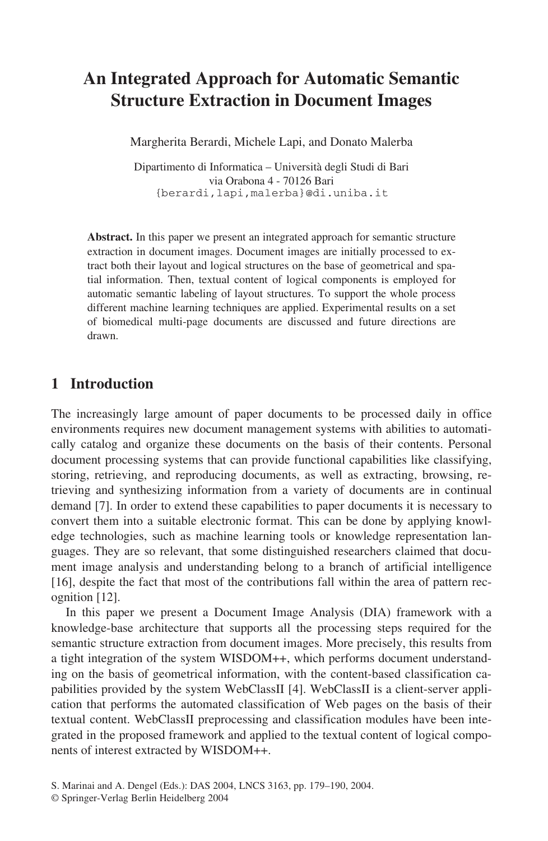# **An Integrated Approach for Automatic Semantic Structure Extraction in Document Images**

Margherita Berardi, Michele Lapi, and Donato Malerba

Dipartimento di Informatica – Università degli Studi di Bari via Orabona 4 - 70126 Bari {berardi,lapi,malerba}@di.uniba.it

**Abstract.** In this paper we present an integrated approach for semantic structure extraction in document images. Document images are initially processed to extract both their layout and logical structures on the base of geometrical and spatial information. Then, textual content of logical components is employed for automatic semantic labeling of layout structures. To support the whole process different machine learning techniques are applied. Experimental results on a set of biomedical multi-page documents are discussed and future directions are drawn.

## **1 Introduction**

The increasingly large amount of paper documents to be processed daily in office environments requires new document management systems with abilities to automatically catalog and organize these documents on the basis of their contents. Personal document processing systems that can provide functional capabilities like classifying, storing, retrieving, and reproducing documents, as well as extracting, browsing, retrieving and synthesizing information from a variety of documents are in continual demand [7]. In order to extend these capabilities to paper documents it is necessary to convert them into a suitable electronic format. This can be done by applying knowledge technologies, such as machine learning tools or knowledge representation languages. They are so relevant, that some distinguished researchers claimed that document image analysis and understanding belong to a branch of artificial intelligence [16], despite the fact that most of the contributions fall within the area of pattern recognition [12].

In this paper we present a Document Image Analysis (DIA) framework with a knowledge-base architecture that supports all the processing steps required for the semantic structure extraction from document images. More precisely, this results from a tight integration of the system WISDOM++, which performs document understanding on the basis of geometrical information, with the content-based classification capabilities provided by the system WebClassII [4]. WebClassII is a client-server application that performs the automated classification of Web pages on the basis of their textual content. WebClassII preprocessing and classification modules have been integrated in the proposed framework and applied to the textual content of logical components of interest extracted by WISDOM++.

S. Marinai and A. Dengel (Eds.): DAS 2004, LNCS 3163, pp. 179–190, 2004.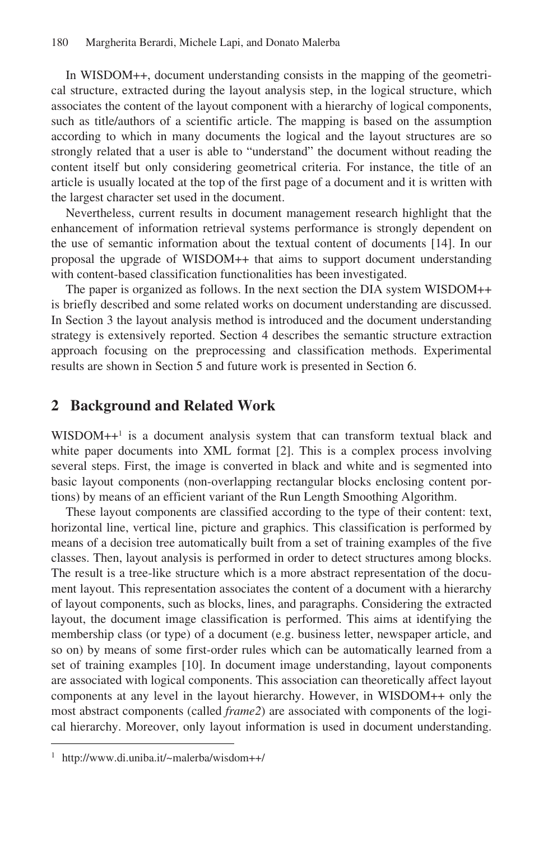In WISDOM++, document understanding consists in the mapping of the geometrical structure, extracted during the layout analysis step, in the logical structure, which associates the content of the layout component with a hierarchy of logical components, such as title/authors of a scientific article. The mapping is based on the assumption according to which in many documents the logical and the layout structures are so strongly related that a user is able to "understand" the document without reading the content itself but only considering geometrical criteria. For instance, the title of an article is usually located at the top of the first page of a document and it is written with the largest character set used in the document.

Nevertheless, current results in document management research highlight that the enhancement of information retrieval systems performance is strongly dependent on the use of semantic information about the textual content of documents [14]. In our proposal the upgrade of WISDOM++ that aims to support document understanding with content-based classification functionalities has been investigated.

The paper is organized as follows. In the next section the DIA system WISDOM++ is briefly described and some related works on document understanding are discussed. In Section 3 the layout analysis method is introduced and the document understanding strategy is extensively reported. Section 4 describes the semantic structure extraction approach focusing on the preprocessing and classification methods. Experimental results are shown in Section 5 and future work is presented in Section 6.

### **2 Background and Related Work**

 $WISDOM++<sup>1</sup>$  is a document analysis system that can transform textual black and white paper documents into XML format [2]. This is a complex process involving several steps. First, the image is converted in black and white and is segmented into basic layout components (non-overlapping rectangular blocks enclosing content portions) by means of an efficient variant of the Run Length Smoothing Algorithm.

These layout components are classified according to the type of their content: text, horizontal line, vertical line, picture and graphics. This classification is performed by means of a decision tree automatically built from a set of training examples of the five classes. Then, layout analysis is performed in order to detect structures among blocks. The result is a tree-like structure which is a more abstract representation of the document layout. This representation associates the content of a document with a hierarchy of layout components, such as blocks, lines, and paragraphs. Considering the extracted layout, the document image classification is performed. This aims at identifying the membership class (or type) of a document (e.g. business letter, newspaper article, and so on) by means of some first-order rules which can be automatically learned from a set of training examples [10]. In document image understanding, layout components are associated with logical components. This association can theoretically affect layout components at any level in the layout hierarchy. However, in WISDOM++ only the most abstract components (called *frame2*) are associated with components of the logical hierarchy. Moreover, only layout information is used in document understanding.

 $\overline{a}$ 

<sup>1</sup> http://www.di.uniba.it/~malerba/wisdom++/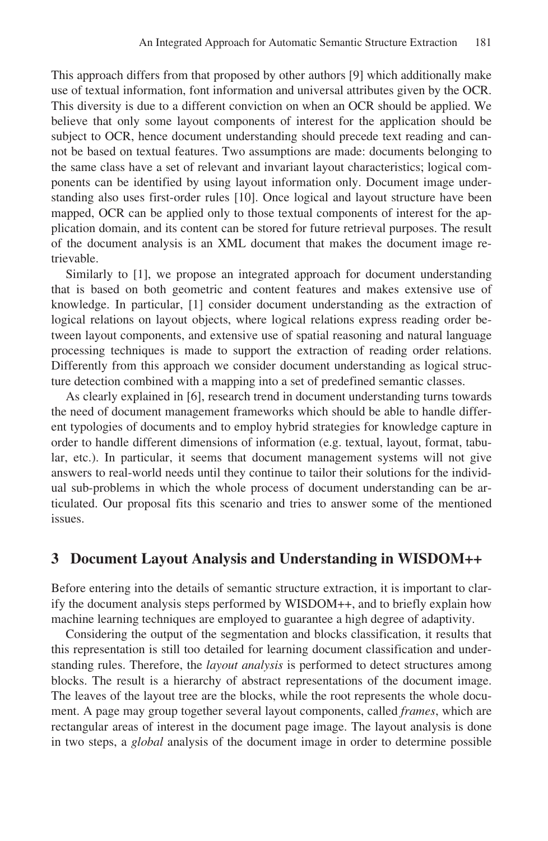This approach differs from that proposed by other authors [9] which additionally make use of textual information, font information and universal attributes given by the OCR. This diversity is due to a different conviction on when an OCR should be applied. We believe that only some layout components of interest for the application should be subject to OCR, hence document understanding should precede text reading and cannot be based on textual features. Two assumptions are made: documents belonging to the same class have a set of relevant and invariant layout characteristics; logical components can be identified by using layout information only. Document image understanding also uses first-order rules [10]. Once logical and layout structure have been mapped, OCR can be applied only to those textual components of interest for the application domain, and its content can be stored for future retrieval purposes. The result of the document analysis is an XML document that makes the document image retrievable.

Similarly to [1], we propose an integrated approach for document understanding that is based on both geometric and content features and makes extensive use of knowledge. In particular, [1] consider document understanding as the extraction of logical relations on layout objects, where logical relations express reading order between layout components, and extensive use of spatial reasoning and natural language processing techniques is made to support the extraction of reading order relations. Differently from this approach we consider document understanding as logical structure detection combined with a mapping into a set of predefined semantic classes.

As clearly explained in [6], research trend in document understanding turns towards the need of document management frameworks which should be able to handle different typologies of documents and to employ hybrid strategies for knowledge capture in order to handle different dimensions of information (e.g. textual, layout, format, tabular, etc.). In particular, it seems that document management systems will not give answers to real-world needs until they continue to tailor their solutions for the individual sub-problems in which the whole process of document understanding can be articulated. Our proposal fits this scenario and tries to answer some of the mentioned issues.

### **3 Document Layout Analysis and Understanding in WISDOM++**

Before entering into the details of semantic structure extraction, it is important to clarify the document analysis steps performed by WISDOM++, and to briefly explain how machine learning techniques are employed to guarantee a high degree of adaptivity.

Considering the output of the segmentation and blocks classification, it results that this representation is still too detailed for learning document classification and understanding rules. Therefore, the *layout analysis* is performed to detect structures among blocks. The result is a hierarchy of abstract representations of the document image. The leaves of the layout tree are the blocks, while the root represents the whole document. A page may group together several layout components, called *frames*, which are rectangular areas of interest in the document page image. The layout analysis is done in two steps, a *global* analysis of the document image in order to determine possible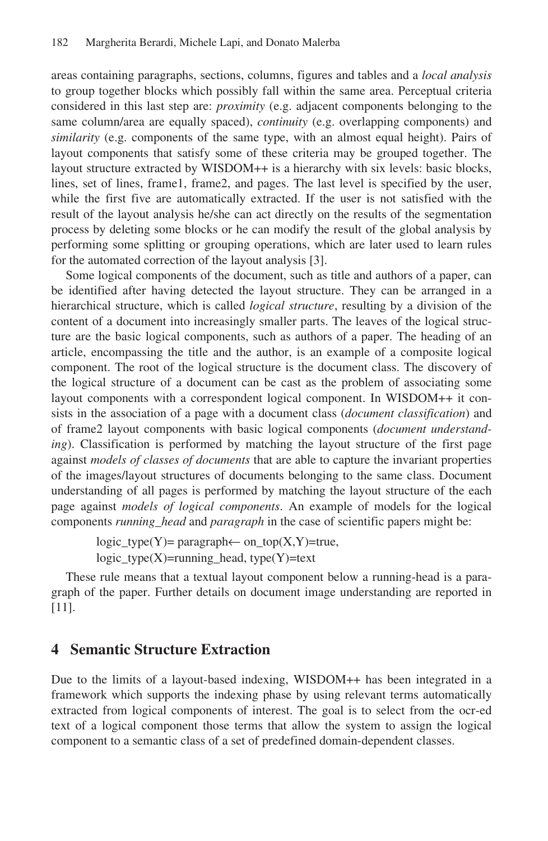areas containing paragraphs, sections, columns, figures and tables and a *local analysis* to group together blocks which possibly fall within the same area. Perceptual criteria considered in this last step are: *proximity* (e.g. adjacent components belonging to the same column/area are equally spaced), *continuity* (e.g. overlapping components) and *similarity* (e.g. components of the same type, with an almost equal height). Pairs of layout components that satisfy some of these criteria may be grouped together. The layout structure extracted by WISDOM++ is a hierarchy with six levels: basic blocks, lines, set of lines, frame1, frame2, and pages. The last level is specified by the user, while the first five are automatically extracted. If the user is not satisfied with the result of the layout analysis he/she can act directly on the results of the segmentation process by deleting some blocks or he can modify the result of the global analysis by performing some splitting or grouping operations, which are later used to learn rules for the automated correction of the layout analysis [3].

Some logical components of the document, such as title and authors of a paper, can be identified after having detected the layout structure. They can be arranged in a hierarchical structure, which is called *logical structure*, resulting by a division of the content of a document into increasingly smaller parts. The leaves of the logical structure are the basic logical components, such as authors of a paper. The heading of an article, encompassing the title and the author, is an example of a composite logical component. The root of the logical structure is the document class. The discovery of the logical structure of a document can be cast as the problem of associating some layout components with a correspondent logical component. In WISDOM++ it consists in the association of a page with a document class (*document classification*) and of frame2 layout components with basic logical components (*document understanding*). Classification is performed by matching the layout structure of the first page against *models of classes of documents* that are able to capture the invariant properties of the images/layout structures of documents belonging to the same class. Document understanding of all pages is performed by matching the layout structure of the each page against *models of logical components*. An example of models for the logical components *running\_head* and *paragraph* in the case of scientific papers might be:

logic\_type(Y)= paragraph $\leftarrow$  on\_top(X,Y)=true,  $logic_type(X)=running\_head, type(Y)=text$ 

These rule means that a textual layout component below a running-head is a paragraph of the paper. Further details on document image understanding are reported in [11].

### **4 Semantic Structure Extraction**

Due to the limits of a layout-based indexing, WISDOM++ has been integrated in a framework which supports the indexing phase by using relevant terms automatically extracted from logical components of interest. The goal is to select from the ocr-ed text of a logical component those terms that allow the system to assign the logical component to a semantic class of a set of predefined domain-dependent classes.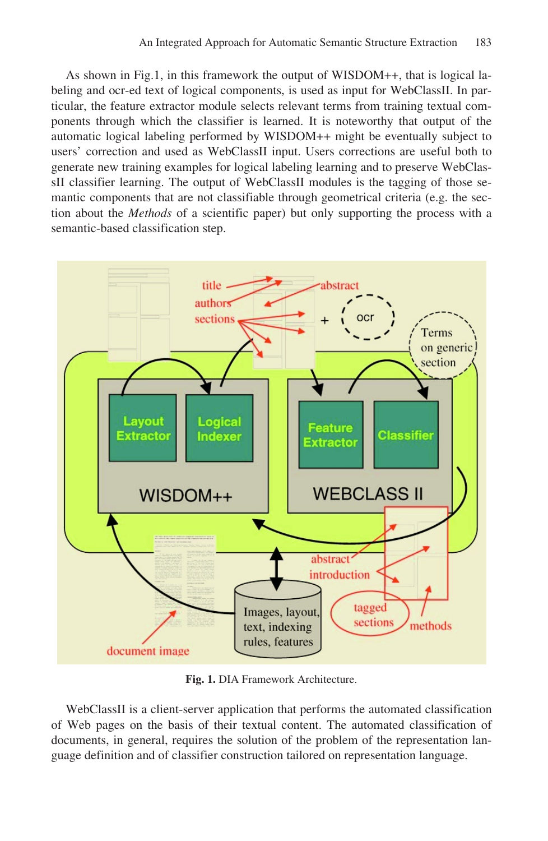As shown in Fig.1, in this framework the output of WISDOM++, that is logical labeling and ocr-ed text of logical components, is used as input for WebClassII. In particular, the feature extractor module selects relevant terms from training textual components through which the classifier is learned. It is noteworthy that output of the automatic logical labeling performed by WISDOM++ might be eventually subject to users' correction and used as WebClassII input. Users corrections are useful both to generate new training examples for logical labeling learning and to preserve WebClassII classifier learning. The output of WebClassII modules is the tagging of those semantic components that are not classifiable through geometrical criteria (e.g. the section about the *Methods* of a scientific paper) but only supporting the process with a semantic-based classification step.



**Fig. 1.** DIA Framework Architecture.

WebClassII is a client-server application that performs the automated classification of Web pages on the basis of their textual content. The automated classification of documents, in general, requires the solution of the problem of the representation language definition and of classifier construction tailored on representation language.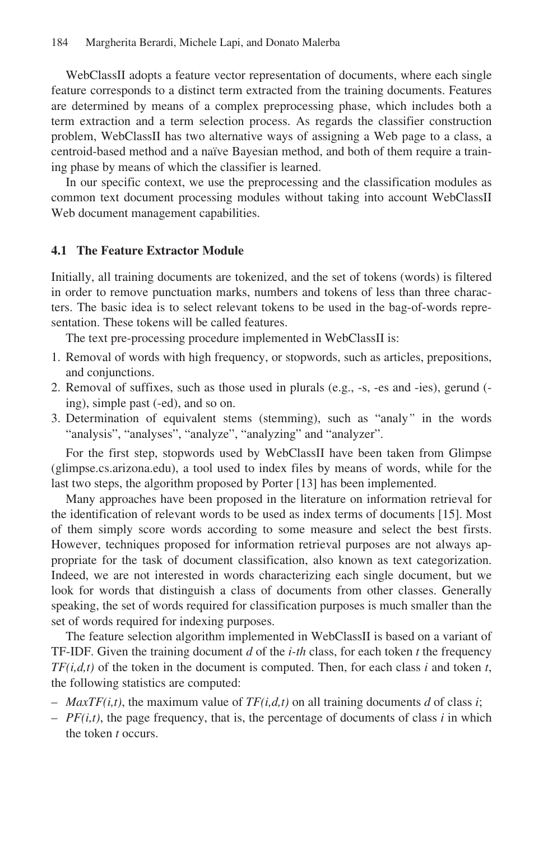WebClassII adopts a feature vector representation of documents, where each single feature corresponds to a distinct term extracted from the training documents. Features are determined by means of a complex preprocessing phase, which includes both a term extraction and a term selection process. As regards the classifier construction problem, WebClassII has two alternative ways of assigning a Web page to a class, a centroid-based method and a naïve Bayesian method, and both of them require a training phase by means of which the classifier is learned.

In our specific context, we use the preprocessing and the classification modules as common text document processing modules without taking into account WebClassII Web document management capabilities.

#### **4.1 The Feature Extractor Module**

Initially, all training documents are tokenized, and the set of tokens (words) is filtered in order to remove punctuation marks, numbers and tokens of less than three characters. The basic idea is to select relevant tokens to be used in the bag-of-words representation. These tokens will be called features.

The text pre-processing procedure implemented in WebClassII is:

- 1. Removal of words with high frequency, or stopwords, such as articles, prepositions, and conjunctions.
- 2. Removal of suffixes, such as those used in plurals (e.g., -s, -es and -ies), gerund ( ing), simple past (-ed), and so on.
- 3. Determination of equivalent stems (stemming), such as "analy*"* in the words "analysis", "analyses", "analyze", "analyzing" and "analyzer".

For the first step, stopwords used by WebClassII have been taken from Glimpse (glimpse.cs.arizona.edu), a tool used to index files by means of words, while for the last two steps, the algorithm proposed by Porter [13] has been implemented.

Many approaches have been proposed in the literature on information retrieval for the identification of relevant words to be used as index terms of documents [15]. Most of them simply score words according to some measure and select the best firsts. However, techniques proposed for information retrieval purposes are not always appropriate for the task of document classification, also known as text categorization. Indeed, we are not interested in words characterizing each single document, but we look for words that distinguish a class of documents from other classes. Generally speaking, the set of words required for classification purposes is much smaller than the set of words required for indexing purposes.

The feature selection algorithm implemented in WebClassII is based on a variant of TF-IDF. Given the training document *d* of the *i-th* class, for each token *t* the frequency *TF(i,d,t)* of the token in the document is computed. Then, for each class *i* and token *t*, the following statistics are computed:

- $-MaxTF(i,t)$ , the maximum value of  $TF(i,d,t)$  on all training documents *d* of class *i*;
- $-$  *PF(i,t)*, the page frequency, that is, the percentage of documents of class *i* in which the token *t* occurs.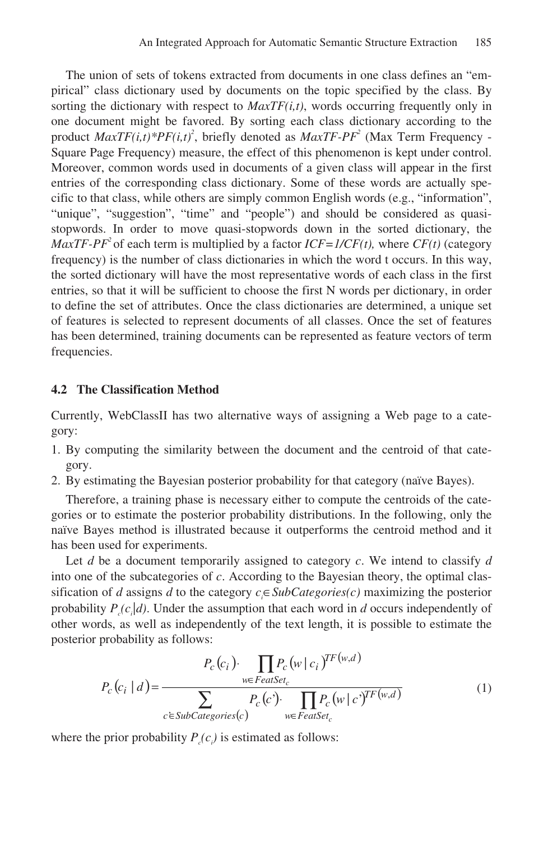The union of sets of tokens extracted from documents in one class defines an "empirical" class dictionary used by documents on the topic specified by the class. By sorting the dictionary with respect to  $MaxTF(i,t)$ , words occurring frequently only in one document might be favored. By sorting each class dictionary according to the product  $MaxTF(i,t)*PF(i,t)^2$ , briefly denoted as  $MaxTF-PF^2$  (Max Term Frequency -Square Page Frequency) measure, the effect of this phenomenon is kept under control. Moreover, common words used in documents of a given class will appear in the first entries of the corresponding class dictionary. Some of these words are actually specific to that class, while others are simply common English words (e.g., "information", "unique", "suggestion", "time" and "people") and should be considered as quasistopwords. In order to move quasi-stopwords down in the sorted dictionary, the *MaxTF-PF*<sup>2</sup> of each term is multiplied by a factor *ICF=1/CF(t)*, where *CF(t)* (category frequency) is the number of class dictionaries in which the word t occurs. In this way, the sorted dictionary will have the most representative words of each class in the first entries, so that it will be sufficient to choose the first N words per dictionary, in order to define the set of attributes. Once the class dictionaries are determined, a unique set of features is selected to represent documents of all classes. Once the set of features has been determined, training documents can be represented as feature vectors of term frequencies.

#### **4.2 The Classification Method**

Currently, WebClassII has two alternative ways of assigning a Web page to a category:

- 1. By computing the similarity between the document and the centroid of that category.
- 2. By estimating the Bayesian posterior probability for that category (naïve Bayes).

Therefore, a training phase is necessary either to compute the centroids of the categories or to estimate the posterior probability distributions. In the following, only the naïve Bayes method is illustrated because it outperforms the centroid method and it has been used for experiments.

Let *d* be a document temporarily assigned to category *c*. We intend to classify *d* into one of the subcategories of *c*. According to the Bayesian theory, the optimal classification of *d* assigns *d* to the category *ci* ∈*SubCategories(c)* maximizing the posterior probability  $P_c(c_i|d)$ . Under the assumption that each word in *d* occurs independently of other words, as well as independently of the text length, it is possible to estimate the posterior probability as follows:

$$
P_c(c_i | d) = \frac{P_c(c_i) \cdot \prod_{w \in Fealset_c} P_c(w | c_i)^{TF(w,d)}}{\sum_{c \in SubCategories(c)} P_c(c^2) \cdot \prod_{w \in Fealset_c} P_c(w | c^3)^{TF(w,d)}}
$$
(1)

where the prior probability  $P_c(c_i)$  is estimated as follows: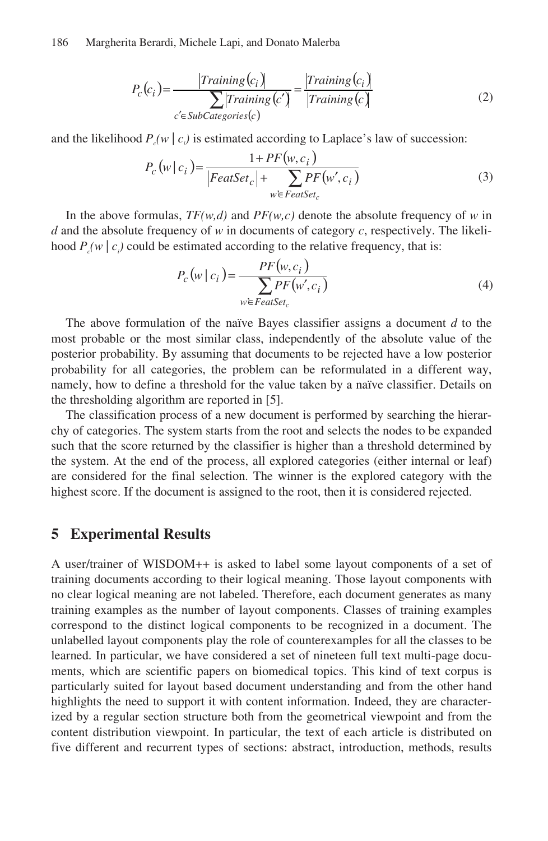$$
P_c(c_i) = \frac{|Training(c_i)|}{\sum_{c' \in SubCategories(c)}|Training(c')|} = \frac{|Training(c_i)|}{|Training(c)|}
$$
(2)

and the likelihood  $P_c(w \mid c_i)$  is estimated according to Laplace's law of succession:

$$
P_c(w \mid c_i) = \frac{1 + PF(w, c_i)}{|FeatSet_c| + \sum_{w \in FeatSet_c} PF(w', c_i)}
$$
(3)

In the above formulas,  $TF(w,d)$  and  $PF(w,c)$  denote the absolute frequency of *w* in *d* and the absolute frequency of *w* in documents of category *c*, respectively. The likelihood  $P_c(w \mid c_i)$  could be estimated according to the relative frequency, that is:

$$
P_c(w \mid c_i) = \frac{PF(w, c_i)}{\sum_{w \in \text{Featset}_c} PF(w', c_i)}
$$
(4)

The above formulation of the naïve Bayes classifier assigns a document *d* to the most probable or the most similar class, independently of the absolute value of the posterior probability. By assuming that documents to be rejected have a low posterior probability for all categories, the problem can be reformulated in a different way, namely, how to define a threshold for the value taken by a naïve classifier. Details on the thresholding algorithm are reported in [5].

The classification process of a new document is performed by searching the hierarchy of categories. The system starts from the root and selects the nodes to be expanded such that the score returned by the classifier is higher than a threshold determined by the system. At the end of the process, all explored categories (either internal or leaf) are considered for the final selection. The winner is the explored category with the highest score. If the document is assigned to the root, then it is considered rejected.

### **5 Experimental Results**

A user/trainer of WISDOM++ is asked to label some layout components of a set of training documents according to their logical meaning. Those layout components with no clear logical meaning are not labeled. Therefore, each document generates as many training examples as the number of layout components. Classes of training examples correspond to the distinct logical components to be recognized in a document. The unlabelled layout components play the role of counterexamples for all the classes to be learned. In particular, we have considered a set of nineteen full text multi-page documents, which are scientific papers on biomedical topics. This kind of text corpus is particularly suited for layout based document understanding and from the other hand highlights the need to support it with content information. Indeed, they are characterized by a regular section structure both from the geometrical viewpoint and from the content distribution viewpoint. In particular, the text of each article is distributed on five different and recurrent types of sections: abstract, introduction, methods, results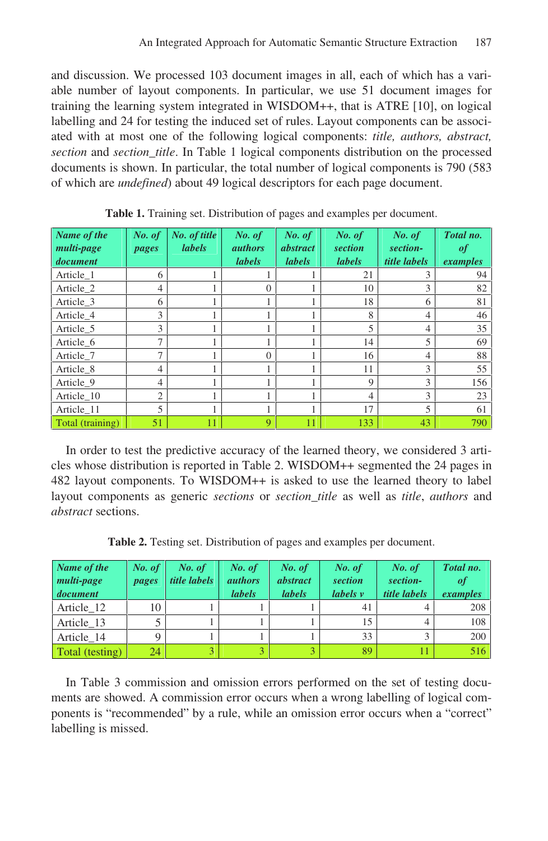and discussion. We processed 103 document images in all, each of which has a variable number of layout components. In particular, we use 51 document images for training the learning system integrated in WISDOM++, that is ATRE [10], on logical labelling and 24 for testing the induced set of rules. Layout components can be associated with at most one of the following logical components: *title, authors, abstract, section* and *section\_title*. In Table 1 logical components distribution on the processed documents is shown. In particular, the total number of logical components is 790 (583 of which are *undefined*) about 49 logical descriptors for each page document.

| Name of the<br>multi-page<br>document | No. of<br>pages | No. of title<br>labels | No. of<br><i>authors</i><br>labels | No. of<br>abstract<br>labels | No. of<br>section<br>labels | No. of<br>section-<br>title labels | Total no.<br><b>of</b><br>examples |
|---------------------------------------|-----------------|------------------------|------------------------------------|------------------------------|-----------------------------|------------------------------------|------------------------------------|
| Article_1                             | 6               |                        |                                    |                              | 21                          |                                    | 94                                 |
| Article_2                             | 4               |                        | 0                                  |                              | 10                          |                                    | 82                                 |
| Article 3                             | 6               |                        |                                    |                              | 18                          | 6                                  | 81                                 |
| Article_4                             | 3               |                        |                                    |                              | 8                           | 4                                  | 46                                 |
| Article 5                             | 3               |                        |                                    |                              | 5                           | 4                                  | 35                                 |
| Article 6                             | ┑               |                        |                                    |                              | 14                          | 5                                  | 69                                 |
| Article_7                             |                 |                        | $\Omega$                           |                              | 16                          | 4                                  | 88                                 |
| Article 8                             | 4               |                        |                                    |                              | 11                          | 3                                  | 55                                 |
| Article 9                             | 4               |                        |                                    |                              | 9                           | 3                                  | 156                                |
| Article 10                            | C               |                        |                                    |                              | 4                           | $\mathcal{E}$                      | 23                                 |
| Article 11                            |                 |                        |                                    |                              | 17                          | 5                                  | 61                                 |
| Total (training)                      | 51              |                        | Q                                  |                              | 133                         | 43                                 | 790                                |

**Table 1.** Training set. Distribution of pages and examples per document.

In order to test the predictive accuracy of the learned theory, we considered 3 articles whose distribution is reported in Table 2. WISDOM++ segmented the 24 pages in 482 layout components. To WISDOM++ is asked to use the learned theory to label layout components as generic *sections* or *section\_title* as well as *title*, *authors* and *abstract* sections.

**Table 2.** Testing set. Distribution of pages and examples per document.

| Name of the<br>multi-page | No. of<br>pages | No. of<br>title labels | No. of<br><i>authors</i> | No. of<br>abstract | No. of<br>section | No. of<br>section- | Total no.<br>of |
|---------------------------|-----------------|------------------------|--------------------------|--------------------|-------------------|--------------------|-----------------|
| document                  |                 |                        | labels                   | labels             | labels v          | title labels       | examples        |
| Article 12                | 10              |                        |                          |                    | 41                |                    | 208             |
| Article 13                |                 |                        |                          |                    | 15                | 4                  | 108             |
| Article 14                |                 |                        |                          |                    | 33                |                    | 200             |
| Total (testing)           | 24              |                        |                          |                    | 89                | 11                 | 516             |

In Table 3 commission and omission errors performed on the set of testing documents are showed. A commission error occurs when a wrong labelling of logical components is "recommended" by a rule, while an omission error occurs when a "correct" labelling is missed.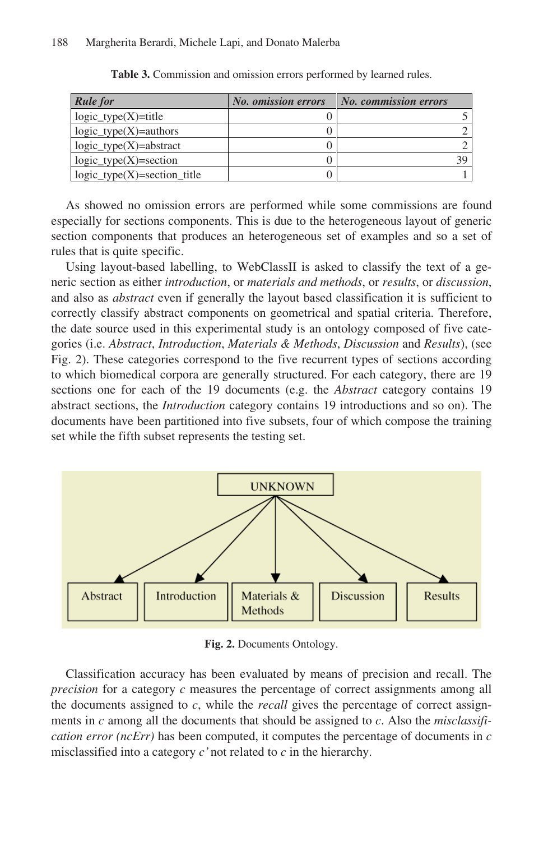| <b>Rule</b> for                | <b>No. omission errors</b> | <b>No.</b> commission errors |
|--------------------------------|----------------------------|------------------------------|
| $logic_type(X)=title$          |                            |                              |
| $logic_type(X)=authors$        |                            |                              |
| $logic_type(X)=abstract$       |                            |                              |
| $logic_type(X)=section$        |                            | 39                           |
| $logic_type(X)=section\_title$ |                            |                              |

**Table 3.** Commission and omission errors performed by learned rules.

As showed no omission errors are performed while some commissions are found especially for sections components. This is due to the heterogeneous layout of generic section components that produces an heterogeneous set of examples and so a set of rules that is quite specific.

Using layout-based labelling, to WebClassII is asked to classify the text of a generic section as either *introduction*, or *materials and methods*, or *results*, or *discussion*, and also as *abstract* even if generally the layout based classification it is sufficient to correctly classify abstract components on geometrical and spatial criteria. Therefore, the date source used in this experimental study is an ontology composed of five categories (i.e. *Abstract*, *Introduction*, *Materials & Methods*, *Discussion* and *Results*), (see Fig. 2). These categories correspond to the five recurrent types of sections according to which biomedical corpora are generally structured. For each category, there are 19 sections one for each of the 19 documents (e.g. the *Abstract* category contains 19 abstract sections, the *Introduction* category contains 19 introductions and so on). The documents have been partitioned into five subsets, four of which compose the training set while the fifth subset represents the testing set.



**Fig. 2.** Documents Ontology.

Classification accuracy has been evaluated by means of precision and recall. The *precision* for a category *c* measures the percentage of correct assignments among all the documents assigned to *c*, while the *recall* gives the percentage of correct assignments in *c* among all the documents that should be assigned to *c*. Also the *misclassification error (ncErr)* has been computed, it computes the percentage of documents in *c* misclassified into a category *c'* not related to *c* in the hierarchy.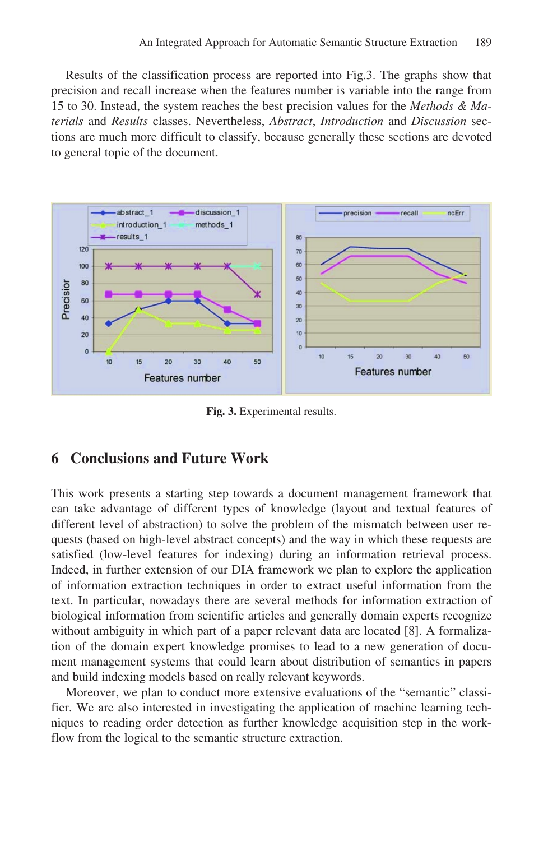Results of the classification process are reported into Fig.3. The graphs show that precision and recall increase when the features number is variable into the range from 15 to 30. Instead, the system reaches the best precision values for the *Methods & Materials* and *Results* classes. Nevertheless, *Abstract*, *Introduction* and *Discussion* sections are much more difficult to classify, because generally these sections are devoted to general topic of the document.



**Fig. 3.** Experimental results.

## **6 Conclusions and Future Work**

This work presents a starting step towards a document management framework that can take advantage of different types of knowledge (layout and textual features of different level of abstraction) to solve the problem of the mismatch between user requests (based on high-level abstract concepts) and the way in which these requests are satisfied (low-level features for indexing) during an information retrieval process. Indeed, in further extension of our DIA framework we plan to explore the application of information extraction techniques in order to extract useful information from the text. In particular, nowadays there are several methods for information extraction of biological information from scientific articles and generally domain experts recognize without ambiguity in which part of a paper relevant data are located [8]. A formalization of the domain expert knowledge promises to lead to a new generation of document management systems that could learn about distribution of semantics in papers and build indexing models based on really relevant keywords.

Moreover, we plan to conduct more extensive evaluations of the "semantic" classifier. We are also interested in investigating the application of machine learning techniques to reading order detection as further knowledge acquisition step in the workflow from the logical to the semantic structure extraction.